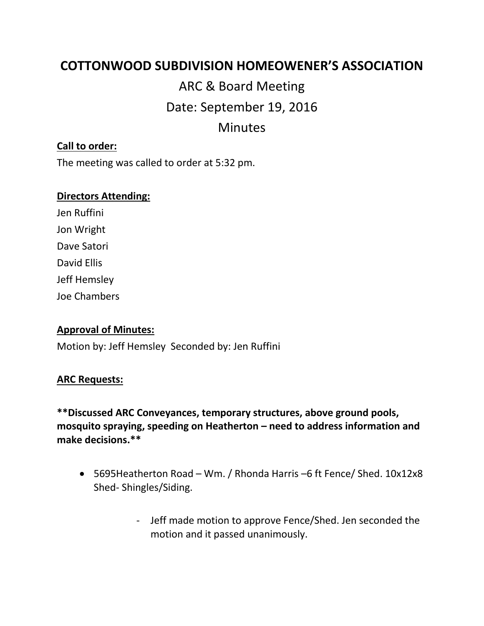# **COTTONWOOD SUBDIVISION HOMEOWENER'S ASSOCIATION**

ARC & Board Meeting Date: September 19, 2016 Minutes

## **Call to order:**

The meeting was called to order at 5:32 pm.

#### **Directors Attending:**

Jen Ruffini Jon Wright Dave Satori David Ellis Jeff Hemsley Joe Chambers

### **Approval of Minutes:**

Motion by: Jeff Hemsley Seconded by: Jen Ruffini

### **ARC Requests:**

**\*\*Discussed ARC Conveyances, temporary structures, above ground pools, mosquito spraying, speeding on Heatherton – need to address information and make decisions.\*\***

- 5695Heatherton Road Wm. / Rhonda Harris –6 ft Fence/ Shed. 10x12x8 Shed- Shingles/Siding.
	- Jeff made motion to approve Fence/Shed. Jen seconded the motion and it passed unanimously.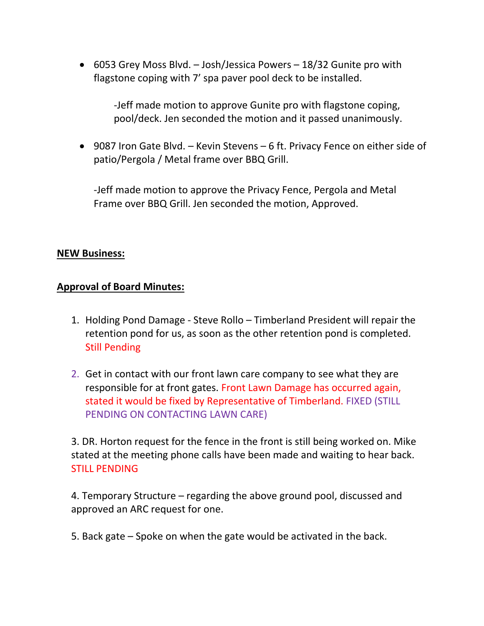• 6053 Grey Moss Blvd. – Josh/Jessica Powers – 18/32 Gunite pro with flagstone coping with 7' spa paver pool deck to be installed.

> -Jeff made motion to approve Gunite pro with flagstone coping, pool/deck. Jen seconded the motion and it passed unanimously.

• 9087 Iron Gate Blvd. – Kevin Stevens – 6 ft. Privacy Fence on either side of patio/Pergola / Metal frame over BBQ Grill.

-Jeff made motion to approve the Privacy Fence, Pergola and Metal Frame over BBQ Grill. Jen seconded the motion, Approved.

## **NEW Business:**

## **Approval of Board Minutes:**

- 1. Holding Pond Damage Steve Rollo Timberland President will repair the retention pond for us, as soon as the other retention pond is completed. Still Pending
- 2. Get in contact with our front lawn care company to see what they are responsible for at front gates. Front Lawn Damage has occurred again, stated it would be fixed by Representative of Timberland. FIXED (STILL PENDING ON CONTACTING LAWN CARE)

3. DR. Horton request for the fence in the front is still being worked on. Mike stated at the meeting phone calls have been made and waiting to hear back. STILL PENDING

4. Temporary Structure – regarding the above ground pool, discussed and approved an ARC request for one.

5. Back gate – Spoke on when the gate would be activated in the back.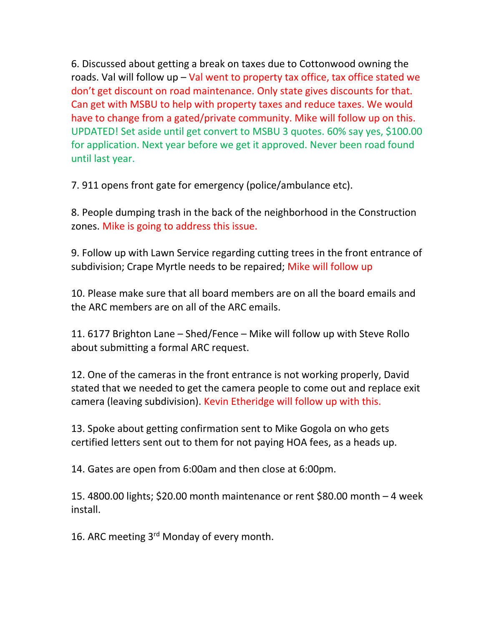6. Discussed about getting a break on taxes due to Cottonwood owning the roads. Val will follow up  $-$  Val went to property tax office, tax office stated we don't get discount on road maintenance. Only state gives discounts for that. Can get with MSBU to help with property taxes and reduce taxes. We would have to change from a gated/private community. Mike will follow up on this. UPDATED! Set aside until get convert to MSBU 3 quotes. 60% say yes, \$100.00 for application. Next year before we get it approved. Never been road found until last year.

7. 911 opens front gate for emergency (police/ambulance etc).

8. People dumping trash in the back of the neighborhood in the Construction zones. Mike is going to address this issue.

9. Follow up with Lawn Service regarding cutting trees in the front entrance of subdivision; Crape Myrtle needs to be repaired; Mike will follow up

10. Please make sure that all board members are on all the board emails and the ARC members are on all of the ARC emails.

11. 6177 Brighton Lane – Shed/Fence – Mike will follow up with Steve Rollo about submitting a formal ARC request.

12. One of the cameras in the front entrance is not working properly, David stated that we needed to get the camera people to come out and replace exit camera (leaving subdivision). Kevin Etheridge will follow up with this.

13. Spoke about getting confirmation sent to Mike Gogola on who gets certified letters sent out to them for not paying HOA fees, as a heads up.

14. Gates are open from 6:00am and then close at 6:00pm.

15. 4800.00 lights; \$20.00 month maintenance or rent \$80.00 month – 4 week install.

16. ARC meeting 3<sup>rd</sup> Monday of every month.